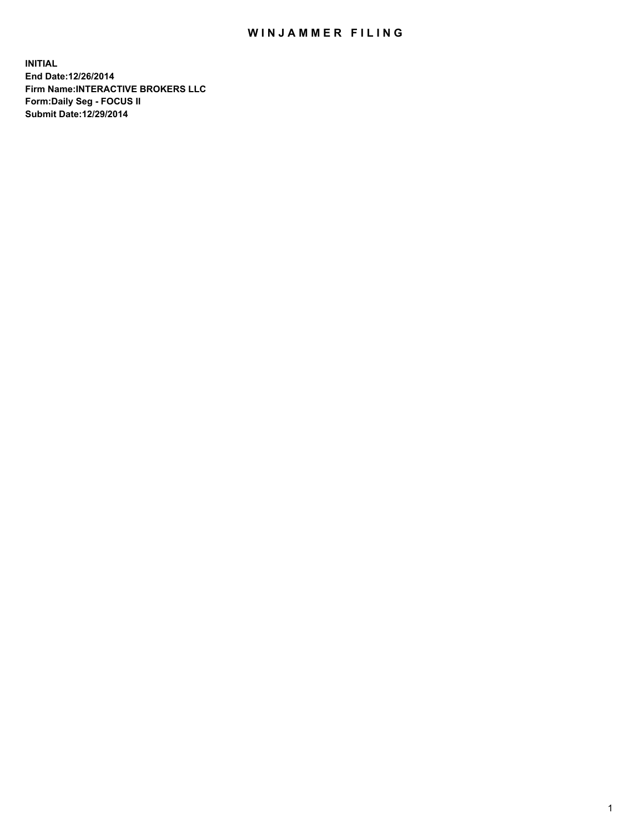## WIN JAMMER FILING

**INITIAL End Date:12/26/2014 Firm Name:INTERACTIVE BROKERS LLC Form:Daily Seg - FOCUS II Submit Date:12/29/2014**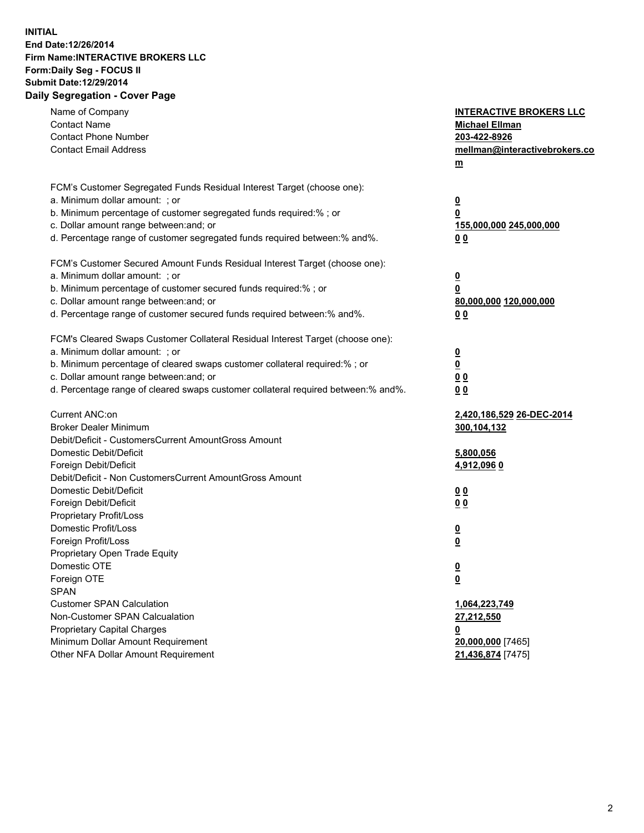## **INITIAL End Date:12/26/2014 Firm Name:INTERACTIVE BROKERS LLC Form:Daily Seg - FOCUS II Submit Date:12/29/2014 Daily Segregation - Cover Page**

| Name of Company<br><b>Contact Name</b><br><b>Contact Phone Number</b><br><b>Contact Email Address</b>                                                                                                                                                                                                                          | <b>INTERACTIVE BROKERS LLC</b><br><b>Michael Ellman</b><br>203-422-8926<br>mellman@interactivebrokers.co<br>$m$ |
|--------------------------------------------------------------------------------------------------------------------------------------------------------------------------------------------------------------------------------------------------------------------------------------------------------------------------------|-----------------------------------------------------------------------------------------------------------------|
| FCM's Customer Segregated Funds Residual Interest Target (choose one):<br>a. Minimum dollar amount: ; or<br>b. Minimum percentage of customer segregated funds required:% ; or<br>c. Dollar amount range between: and; or<br>d. Percentage range of customer segregated funds required between:% and%.                         | $\overline{\mathbf{0}}$<br>0<br>155,000,000 245,000,000<br>0 <sub>0</sub>                                       |
| FCM's Customer Secured Amount Funds Residual Interest Target (choose one):<br>a. Minimum dollar amount: ; or<br>b. Minimum percentage of customer secured funds required:% ; or<br>c. Dollar amount range between: and; or<br>d. Percentage range of customer secured funds required between:% and%.                           | $\overline{\mathbf{0}}$<br>0<br>80,000,000 120,000,000<br>0 <sub>0</sub>                                        |
| FCM's Cleared Swaps Customer Collateral Residual Interest Target (choose one):<br>a. Minimum dollar amount: ; or<br>b. Minimum percentage of cleared swaps customer collateral required:% ; or<br>c. Dollar amount range between: and; or<br>d. Percentage range of cleared swaps customer collateral required between:% and%. | $\overline{\mathbf{0}}$<br>$\underline{\mathbf{0}}$<br>0 <sub>0</sub><br>0 <sub>0</sub>                         |
| Current ANC:on<br><b>Broker Dealer Minimum</b><br>Debit/Deficit - CustomersCurrent AmountGross Amount<br>Domestic Debit/Deficit<br>Foreign Debit/Deficit                                                                                                                                                                       | 2,420,186,529 26-DEC-2014<br>300,104,132<br>5,800,056<br>4,912,096 0                                            |
| Debit/Deficit - Non CustomersCurrent AmountGross Amount<br>Domestic Debit/Deficit<br>Foreign Debit/Deficit<br>Proprietary Profit/Loss<br>Domestic Profit/Loss                                                                                                                                                                  | 0 <sub>0</sub><br>0 <sub>0</sub><br>$\overline{\mathbf{0}}$                                                     |
| Foreign Profit/Loss<br>Proprietary Open Trade Equity<br>Domestic OTE<br>Foreign OTE<br><b>SPAN</b><br><b>Customer SPAN Calculation</b>                                                                                                                                                                                         | $\overline{\mathbf{0}}$<br>$\underline{\mathbf{0}}$<br><u>0</u><br>1,064,223,749                                |
| Non-Customer SPAN Calcualation<br>Proprietary Capital Charges<br>Minimum Dollar Amount Requirement<br>Other NFA Dollar Amount Requirement                                                                                                                                                                                      | 27,212,550<br><u>0</u><br>20,000,000 [7465]<br>21,436,874 [7475]                                                |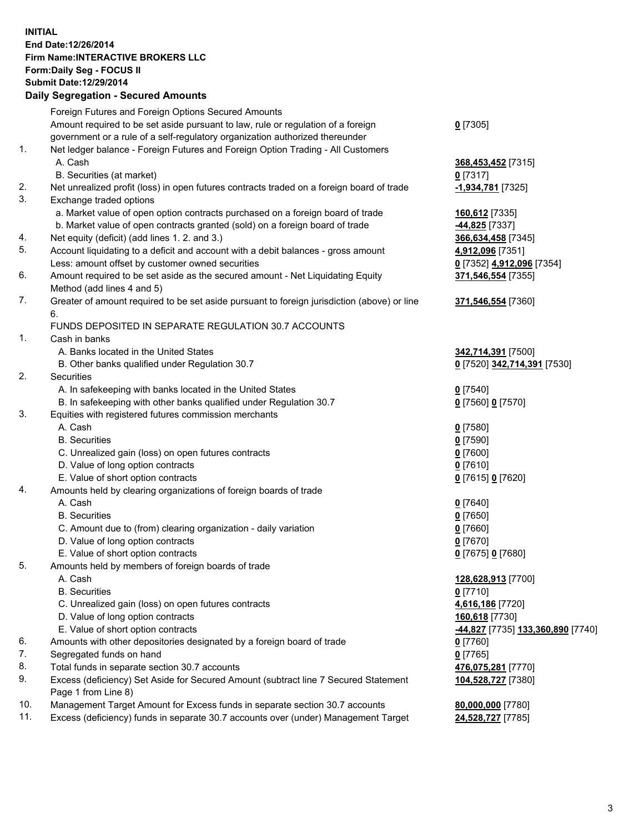## **INITIAL End Date:12/26/2014 Firm Name:INTERACTIVE BROKERS LLC Form:Daily Seg - FOCUS II Submit Date:12/29/2014 Daily Segregation - Secured Amounts**

|     | Foreign Futures and Foreign Options Secured Amounts                                                        |                                                |
|-----|------------------------------------------------------------------------------------------------------------|------------------------------------------------|
|     | Amount required to be set aside pursuant to law, rule or regulation of a foreign                           | $0$ [7305]                                     |
|     | government or a rule of a self-regulatory organization authorized thereunder                               |                                                |
| 1.  | Net ledger balance - Foreign Futures and Foreign Option Trading - All Customers                            |                                                |
|     | A. Cash                                                                                                    | 368,453,452 [7315]                             |
|     | B. Securities (at market)                                                                                  | $0$ [7317]                                     |
| 2.  | Net unrealized profit (loss) in open futures contracts traded on a foreign board of trade                  | -1,934,781 [7325]                              |
| 3.  | Exchange traded options                                                                                    |                                                |
|     | a. Market value of open option contracts purchased on a foreign board of trade                             | 160,612 [7335]                                 |
|     | b. Market value of open contracts granted (sold) on a foreign board of trade                               | 44,825 [7337]                                  |
| 4.  | Net equity (deficit) (add lines 1. 2. and 3.)                                                              | 366,634,458 [7345]                             |
| 5.  | Account liquidating to a deficit and account with a debit balances - gross amount                          | 4,912,096 [7351]                               |
|     | Less: amount offset by customer owned securities                                                           | 0 [7352] 4,912,096 [7354]                      |
| 6.  | Amount required to be set aside as the secured amount - Net Liquidating Equity                             | 371,546,554 [7355]                             |
|     | Method (add lines 4 and 5)                                                                                 |                                                |
| 7.  | Greater of amount required to be set aside pursuant to foreign jurisdiction (above) or line                | 371,546,554 [7360]                             |
|     | 6.                                                                                                         |                                                |
|     | FUNDS DEPOSITED IN SEPARATE REGULATION 30.7 ACCOUNTS                                                       |                                                |
| 1.  | Cash in banks                                                                                              |                                                |
|     | A. Banks located in the United States                                                                      | 342,714,391 [7500]                             |
|     | B. Other banks qualified under Regulation 30.7                                                             | 0 [7520] 342,714,391 [7530]                    |
| 2.  | Securities                                                                                                 |                                                |
|     | A. In safekeeping with banks located in the United States                                                  | $0$ [7540]                                     |
|     | B. In safekeeping with other banks qualified under Regulation 30.7                                         | 0 [7560] 0 [7570]                              |
| 3.  | Equities with registered futures commission merchants                                                      |                                                |
|     | A. Cash                                                                                                    | $0$ [7580]                                     |
|     | <b>B.</b> Securities                                                                                       | $0$ [7590]                                     |
|     | C. Unrealized gain (loss) on open futures contracts                                                        | $0$ [7600]                                     |
|     | D. Value of long option contracts                                                                          | $0$ [7610]                                     |
|     | E. Value of short option contracts                                                                         | 0 [7615] 0 [7620]                              |
| 4.  | Amounts held by clearing organizations of foreign boards of trade                                          |                                                |
|     | A. Cash                                                                                                    | $0$ [7640]                                     |
|     | <b>B.</b> Securities                                                                                       | $0$ [7650]                                     |
|     | C. Amount due to (from) clearing organization - daily variation                                            | $0$ [7660]                                     |
|     | D. Value of long option contracts                                                                          | $0$ [7670]                                     |
|     | E. Value of short option contracts                                                                         | 0 [7675] 0 [7680]                              |
| 5.  | Amounts held by members of foreign boards of trade                                                         |                                                |
|     | A. Cash                                                                                                    | 128,628,913 [7700]                             |
|     | <b>B.</b> Securities                                                                                       | $0$ [7710]                                     |
|     | C. Unrealized gain (loss) on open futures contracts                                                        | 4,616,186 [7720]                               |
|     | D. Value of long option contracts                                                                          | 160,618 [7730]                                 |
|     | E. Value of short option contracts                                                                         | <mark>-44,827</mark> [7735] 133,360,890 [7740] |
| 6.  | Amounts with other depositories designated by a foreign board of trade                                     | $0$ [7760]                                     |
| 7.  | Segregated funds on hand                                                                                   | $0$ [7765]                                     |
| 8.  | Total funds in separate section 30.7 accounts                                                              | 476,075,281 [7770]                             |
| 9.  | Excess (deficiency) Set Aside for Secured Amount (subtract line 7 Secured Statement<br>Page 1 from Line 8) | 104,528,727 [7380]                             |
| 10. | Management Target Amount for Excess funds in separate section 30.7 accounts                                | 80,000,000 [7780]                              |
| 11. | Excess (deficiency) funds in separate 30.7 accounts over (under) Management Target                         | 24,528,727 [7785]                              |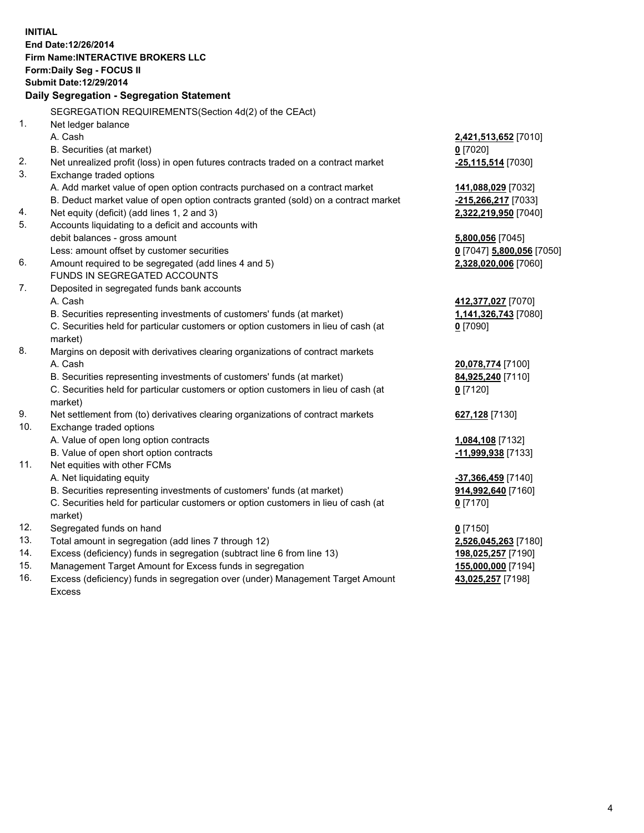**INITIAL End Date:12/26/2014 Firm Name:INTERACTIVE BROKERS LLC Form:Daily Seg - FOCUS II Submit Date:12/29/2014 Daily Segregation - Segregation Statement** SEGREGATION REQUIREMENTS(Section 4d(2) of the CEAct) 1. Net ledger balance A. Cash **2,421,513,652** [7010] B. Securities (at market) **0** [7020] 2. Net unrealized profit (loss) in open futures contracts traded on a contract market **-25,115,514** [7030] 3. Exchange traded options A. Add market value of open option contracts purchased on a contract market **141,088,029** [7032] B. Deduct market value of open option contracts granted (sold) on a contract market **-215,266,217** [7033] 4. Net equity (deficit) (add lines 1, 2 and 3) **2,322,219,950** [7040] 5. Accounts liquidating to a deficit and accounts with debit balances - gross amount **5,800,056** [7045] Less: amount offset by customer securities **0** [7047] **5,800,056** [7050] 6. Amount required to be segregated (add lines 4 and 5) **2,328,020,006** [7060] FUNDS IN SEGREGATED ACCOUNTS 7. Deposited in segregated funds bank accounts A. Cash **412,377,027** [7070] B. Securities representing investments of customers' funds (at market) **1,141,326,743** [7080] C. Securities held for particular customers or option customers in lieu of cash (at market) **0** [7090] 8. Margins on deposit with derivatives clearing organizations of contract markets A. Cash **20,078,774** [7100] B. Securities representing investments of customers' funds (at market) **84,925,240** [7110] C. Securities held for particular customers or option customers in lieu of cash (at market) **0** [7120] 9. Net settlement from (to) derivatives clearing organizations of contract markets **627,128** [7130] 10. Exchange traded options A. Value of open long option contracts **1,084,108** [7132] B. Value of open short option contracts **-11,999,938** [7133] 11. Net equities with other FCMs A. Net liquidating equity **-37,366,459** [7140] B. Securities representing investments of customers' funds (at market) **914,992,640** [7160] C. Securities held for particular customers or option customers in lieu of cash (at market) **0** [7170] 12. Segregated funds on hand **0** [7150] 13. Total amount in segregation (add lines 7 through 12) **2,526,045,263** [7180] 14. Excess (deficiency) funds in segregation (subtract line 6 from line 13) **198,025,257** [7190] 15. Management Target Amount for Excess funds in segregation **155,000,000** [7194]

16. Excess (deficiency) funds in segregation over (under) Management Target Amount Excess

**43,025,257** [7198]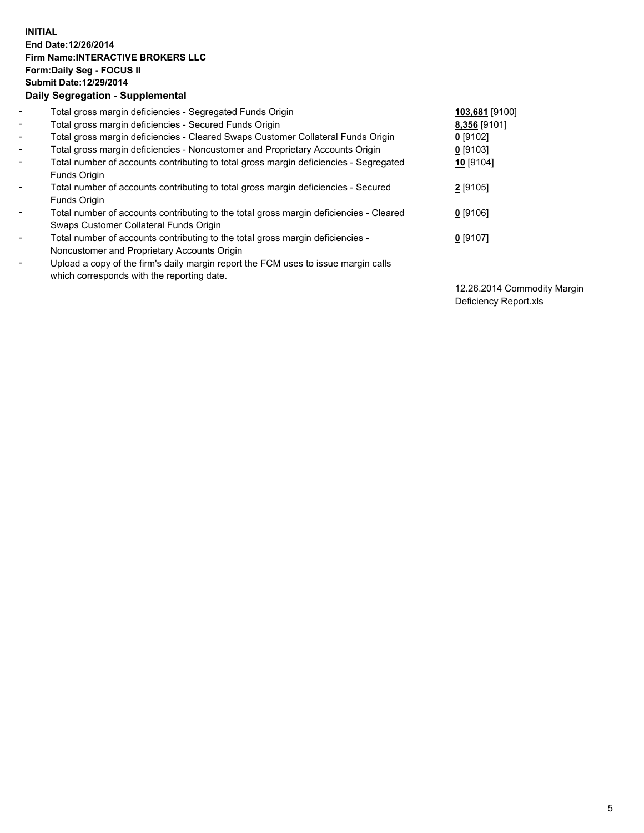## **INITIAL End Date:12/26/2014 Firm Name:INTERACTIVE BROKERS LLC Form:Daily Seg - FOCUS II Submit Date:12/29/2014 Daily Segregation - Supplemental**

| $\blacksquare$           | Total gross margin deficiencies - Segregated Funds Origin                              | 103,681 [9100] |
|--------------------------|----------------------------------------------------------------------------------------|----------------|
| $\sim$                   | Total gross margin deficiencies - Secured Funds Origin                                 | 8,356 [9101]   |
| $\blacksquare$           | Total gross margin deficiencies - Cleared Swaps Customer Collateral Funds Origin       | $0$ [9102]     |
| $\blacksquare$           | Total gross margin deficiencies - Noncustomer and Proprietary Accounts Origin          | $0$ [9103]     |
| $\blacksquare$           | Total number of accounts contributing to total gross margin deficiencies - Segregated  | 10 [9104]      |
|                          | Funds Origin                                                                           |                |
| $\blacksquare$           | Total number of accounts contributing to total gross margin deficiencies - Secured     | 2 [9105]       |
|                          | <b>Funds Origin</b>                                                                    |                |
| $\blacksquare$           | Total number of accounts contributing to the total gross margin deficiencies - Cleared | $0$ [9106]     |
|                          | Swaps Customer Collateral Funds Origin                                                 |                |
| $\overline{\phantom{a}}$ | Total number of accounts contributing to the total gross margin deficiencies -         | $0$ [9107]     |
|                          | Noncustomer and Proprietary Accounts Origin                                            |                |
| $\overline{\phantom{a}}$ | Upload a copy of the firm's daily margin report the FCM uses to issue margin calls     |                |
|                          | which corresponds with the reporting date.                                             |                |

12.26.2014 Commodity Margin Deficiency Report.xls